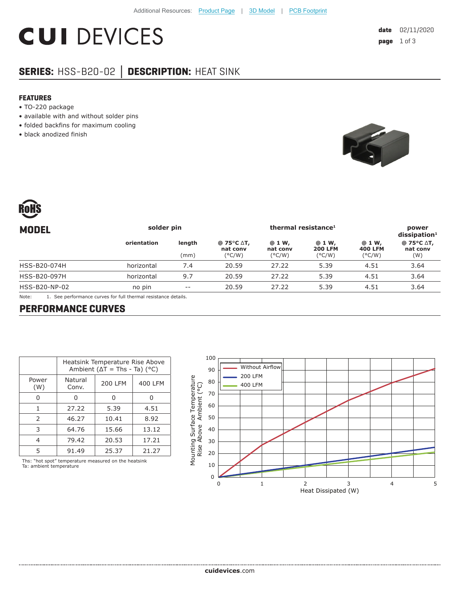## **CUI DEVICES**

### **SERIES:** HSS-B20-02 **│ DESCRIPTION:** HEAT SINK

### **FEATURES**

- TO-220 package
- available with and without solder pins
- folded backfins for maximum cooling
- black anodized finish





| <b>MODEL</b>  | solder pin  |                | thermal resistance <sup>1</sup>                                               |                                       |                                             |                                             | power<br>$dis$ sipation <sup>1</sup> |
|---------------|-------------|----------------|-------------------------------------------------------------------------------|---------------------------------------|---------------------------------------------|---------------------------------------------|--------------------------------------|
|               | orientation | length<br>(mm) | @ 75 $\mathrm{^{\circ}C}$ $\mathrm{\Delta}$ T,<br>nat conv<br>$(^{\circ}C/W)$ | @ 1 W,<br>nat conv<br>$(^{\circ}C/W)$ | @ 1 W,<br><b>200 LFM</b><br>$(^{\circ}C/W)$ | @ 1 W,<br><b>400 LFM</b><br>$(^{\circ}C/W)$ | @ 75°C ∆T,<br>nat conv<br>(W)        |
| HSS-B20-074H  | horizontal  | 7.4            | 20.59                                                                         | 27.22                                 | 5.39                                        | 4.51                                        | 3.64                                 |
| HSS-B20-097H  | horizontal  | 9.7            | 20.59                                                                         | 27.22                                 | 5.39                                        | 4.51                                        | 3.64                                 |
| HSS-B20-NP-02 | no pin      | $- -$          | 20.59                                                                         | 27.22                                 | 5.39                                        | 4.51                                        | 3.64                                 |
|               |             |                |                                                                               |                                       |                                             |                                             |                                      |

Note: 1. See performance curves for full thermal resistance details.

### **PERFORMANCE CURVES**

|               | Heatsink Temperature Rise Above<br>Ambient ( $\Delta T$ = Ths - Ta) (°C) |         |         |  |  |
|---------------|--------------------------------------------------------------------------|---------|---------|--|--|
| Power<br>(W)  | Natural<br>Conv.                                                         | 200 LFM | 400 LFM |  |  |
|               |                                                                          | O       |         |  |  |
| 1             | 27.22                                                                    | 5.39    | 4.51    |  |  |
| $\mathcal{P}$ | 46.27                                                                    | 10.41   | 8.92    |  |  |
| 3             | 64.76                                                                    | 15.66   | 13.12   |  |  |
| 4             | 79.42                                                                    | 20.53   | 17.21   |  |  |
|               | 91.49                                                                    | 25.37   | 21.27   |  |  |

Ths: "hot spot" temperature measured on the heatsink Ta: ambient temperature

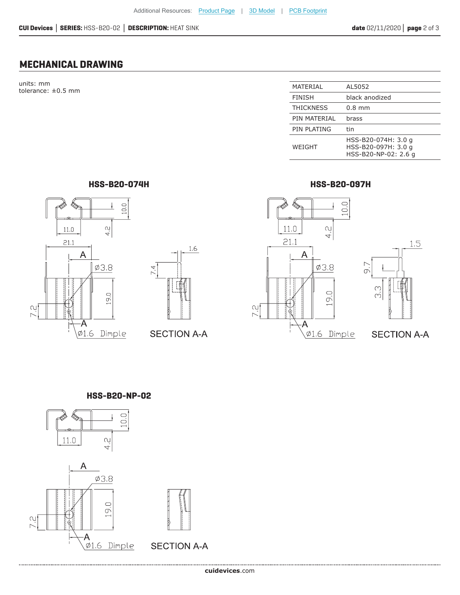### **MECHANICAL DRAWING**

units: mm tolerance:  $\pm 0.5$  mm

| MATERIAL         | AL5052                                                             |
|------------------|--------------------------------------------------------------------|
| <b>FINISH</b>    | black anodized                                                     |
| <b>THICKNESS</b> | $0.8$ mm                                                           |
| PIN MATERIAL     | brass                                                              |
| PIN PLATING      | tin                                                                |
| WEIGHT           | HSS-B20-074H: 3.0 g<br>HSS-B20-097H: 3.0 g<br>HSS-B20-NP-02: 2.6 g |

**HSS-B20-074H HSS-B20-097H**



# $1.6\,$  $7.4$

### **SECTION A-A**





**SECTION A-A** 

### **HSS-B20-NP-02**